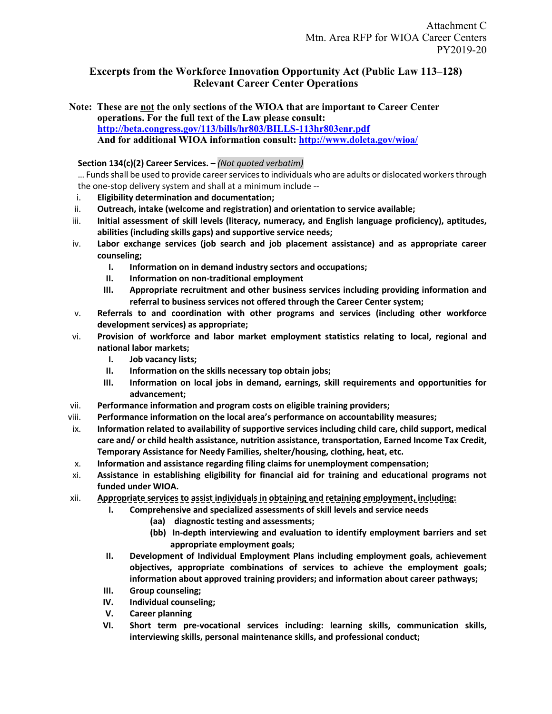# **Excerpts from the Workforce Innovation Opportunity Act (Public Law 113–128) Relevant Career Center Operations**

**Note: These are not the only sections of the WIOA that are important to Career Center operations. For the full text of the Law please consult: http://beta.congress.gov/113/bills/hr803/BILLS-113hr803enr.pdf And for additional WIOA information consult: http://www.doleta.gov/wioa/**

### **Section 134(c)(2) Career Services. –** *(Not quoted verbatim)*

… Funds shall be used to provide career services to individuals who are adults or dislocated workers through the one-stop delivery system and shall at a minimum include --

- i. **Eligibility determination and documentation;**
- ii. **Outreach, intake (welcome and registration) and orientation to service available;**
- iii. **Initial assessment of skill levels (literacy, numeracy, and English language proficiency), aptitudes, abilities (including skills gaps) and supportive service needs;**
- iv. **Labor exchange services (job search and job placement assistance) and as appropriate career counseling;**
	- **I. Information on in demand industry sectors and occupations;**
	- **II. Information on non-traditional employment**
	- **III. Appropriate recruitment and other business services including providing information and referral to business services not offered through the Career Center system;**
- v. **Referrals to and coordination with other programs and services (including other workforce development services) as appropriate;**
- vi. **Provision of workforce and labor market employment statistics relating to local, regional and national labor markets;** 
	- **I. Job vacancy lists;**
	- **II. Information on the skills necessary top obtain jobs;**
	- **III. Information on local jobs in demand, earnings, skill requirements and opportunities for advancement;**
- vii. **Performance information and program costs on eligible training providers;**
- viii. **Performance information on the local area's performance on accountability measures;**
- ix. **Information related to availability of supportive services including child care, child support, medical care and/ or child health assistance, nutrition assistance, transportation, Earned Income Tax Credit, Temporary Assistance for Needy Families, shelter/housing, clothing, heat, etc.**
- x. **Information and assistance regarding filing claims for unemployment compensation;**
- xi. **Assistance in establishing eligibility for financial aid for training and educational programs not funded under WIOA.**
- xii. **Appropriate services to assist individuals in obtaining and retaining employment, including:**
	- **I. Comprehensive and specialized assessments of skill levels and service needs** 
		- **(aa) diagnostic testing and assessments;**
		- **(bb) In-depth interviewing and evaluation to identify employment barriers and set appropriate employment goals;**
	- **II. Development of Individual Employment Plans including employment goals, achievement objectives, appropriate combinations of services to achieve the employment goals; information about approved training providers; and information about career pathways;**
	- **III. Group counseling;**
	- **IV. Individual counseling;**
	- **V. Career planning**
	- **VI. Short term pre-vocational services including: learning skills, communication skills, interviewing skills, personal maintenance skills, and professional conduct;**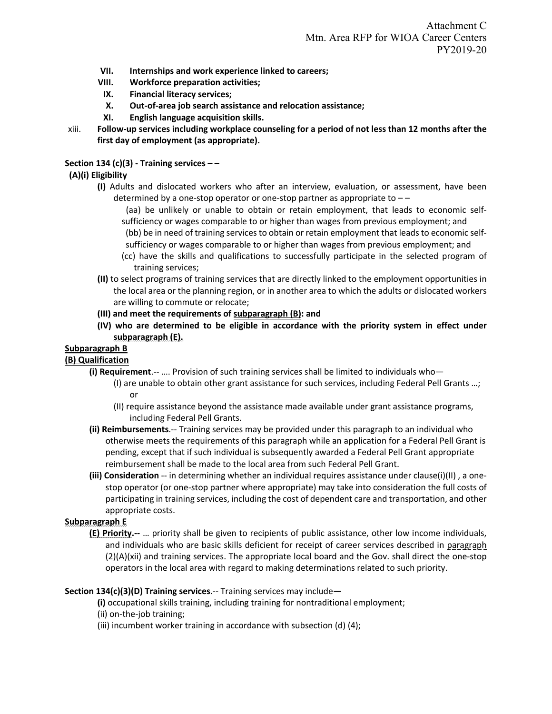- **VII. Internships and work experience linked to careers;**
- **VIII. Workforce preparation activities;**
- **IX. Financial literacy services;**
- **X. Out-of-area job search assistance and relocation assistance;**
- **XI. English language acquisition skills.**
- xiii. **Follow-up services including workplace counseling for a period of not less than 12 months after the first day of employment (as appropriate).**

## **Section 134 (c)(3) - Training services – –**

# **(A)(i) Eligibility**

- **(I)** Adults and dislocated workers who after an interview, evaluation, or assessment, have been determined by a one-stop operator or one-stop partner as appropriate to – –
	- (aa) be unlikely or unable to obtain or retain employment, that leads to economic selfsufficiency or wages comparable to or higher than wages from previous employment; and
	- (bb) be in need of training services to obtain or retain employment that leads to economic selfsufficiency or wages comparable to or higher than wages from previous employment; and
	- (cc) have the skills and qualifications to successfully participate in the selected program of training services;
- **(II)** to select programs of training services that are directly linked to the employment opportunities in the local area or the planning region, or in another area to which the adults or dislocated workers are willing to commute or relocate;
- **(III) and meet the requirements of subparagraph (B): and**
- **(IV) who are determined to be eligible in accordance with the priority system in effect under subparagraph (E).**

### **Subparagraph B**

# **(B) Qualification**

- **(i) Requirement**.-- …. Provision of such training services shall be limited to individuals who—
	- (I) are unable to obtain other grant assistance for such services, including Federal Pell Grants …; or
	- (II) require assistance beyond the assistance made available under grant assistance programs, including Federal Pell Grants.
- **(ii) Reimbursements**.-- Training services may be provided under this paragraph to an individual who otherwise meets the requirements of this paragraph while an application for a Federal Pell Grant is pending, except that if such individual is subsequently awarded a Federal Pell Grant appropriate reimbursement shall be made to the local area from such Federal Pell Grant.
- **(iii) Consideration** -- in determining whether an individual requires assistance under clause(i)(II), a onestop operator (or one-stop partner where appropriate) may take into consideration the full costs of participating in training services, including the cost of dependent care and transportation, and other appropriate costs.

### **Subparagraph E**

**(E) Priority.--** … priority shall be given to recipients of public assistance, other low income individuals, and individuals who are basic skills deficient for receipt of career services described in paragraph (2)(A)(xii) and training services. The appropriate local board and the Gov. shall direct the one-stop operators in the local area with regard to making determinations related to such priority.

### **Section 134(c)(3)(D) Training services**.-- Training services may include**—**

**(i)** occupational skills training, including training for nontraditional employment;

- (ii) on-the-job training;
- (iii) incumbent worker training in accordance with subsection (d) (4);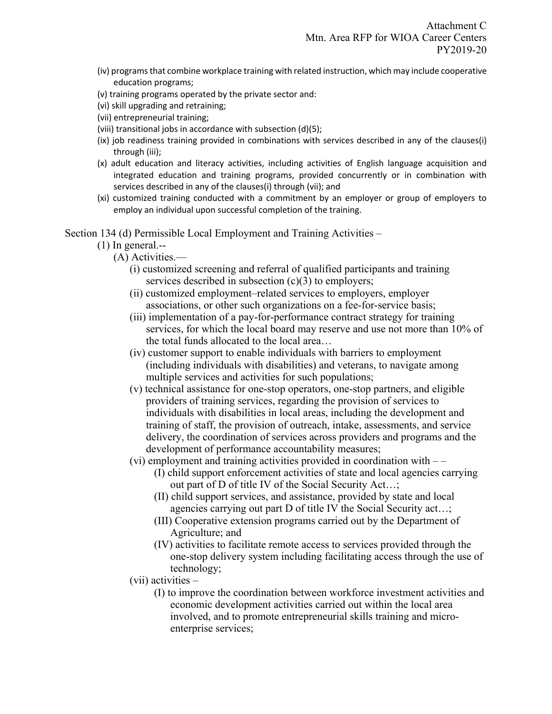- (iv) programs that combine workplace training with related instruction, which may include cooperative education programs;
- (v) training programs operated by the private sector and:
- (vi) skill upgrading and retraining;
- (vii) entrepreneurial training;
- (viii) transitional jobs in accordance with subsection (d)(5);
- (ix) job readiness training provided in combinations with services described in any of the clauses(i) through (iii);
- (x) adult education and literacy activities, including activities of English language acquisition and integrated education and training programs, provided concurrently or in combination with services described in any of the clauses(i) through (vii); and
- (xi) customized training conducted with a commitment by an employer or group of employers to employ an individual upon successful completion of the training.

Section 134 (d) Permissible Local Employment and Training Activities –

- (1) In general.--
	- (A) Activities.—
		- (i) customized screening and referral of qualified participants and training services described in subsection (c)(3) to employers;
		- (ii) customized employment–related services to employers, employer associations, or other such organizations on a fee-for-service basis;
		- (iii) implementation of a pay-for-performance contract strategy for training services, for which the local board may reserve and use not more than 10% of the total funds allocated to the local area…
		- (iv) customer support to enable individuals with barriers to employment (including individuals with disabilities) and veterans, to navigate among multiple services and activities for such populations;
		- (v) technical assistance for one-stop operators, one-stop partners, and eligible providers of training services, regarding the provision of services to individuals with disabilities in local areas, including the development and training of staff, the provision of outreach, intake, assessments, and service delivery, the coordination of services across providers and programs and the development of performance accountability measures;
		- $(vi)$  employment and training activities provided in coordination with  $--$ 
			- (I) child support enforcement activities of state and local agencies carrying out part of D of title IV of the Social Security Act…;
			- (II) child support services, and assistance, provided by state and local agencies carrying out part D of title IV the Social Security act…;
			- (III) Cooperative extension programs carried out by the Department of Agriculture; and
			- (IV) activities to facilitate remote access to services provided through the one-stop delivery system including facilitating access through the use of technology;
		- (vii) activities
			- (I) to improve the coordination between workforce investment activities and economic development activities carried out within the local area involved, and to promote entrepreneurial skills training and microenterprise services;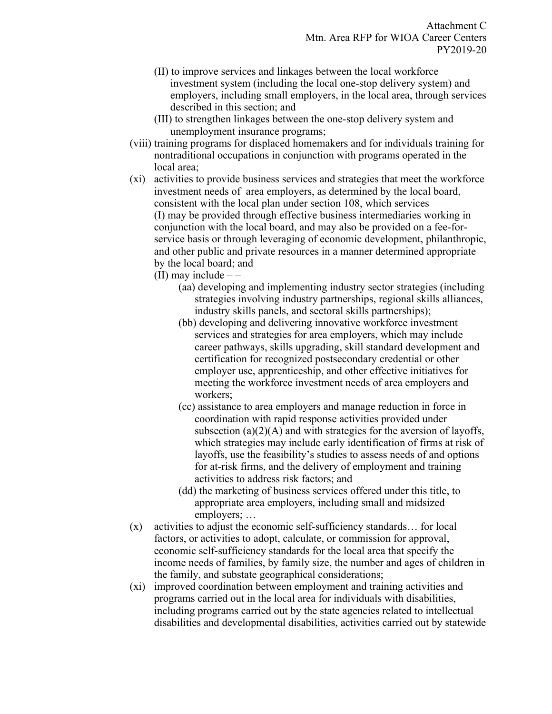- (II) to improve services and linkages between the local workforce investment system (including the local one-stop delivery system) and employers, including small employers, in the local area, through services described in this section; and
- (III) to strengthen linkages between the one-stop delivery system and unemployment insurance programs;
- (viii) training programs for displaced homemakers and for individuals training for nontraditional occupations in conjunction with programs operated in the local area;
- (xi) activities to provide business services and strategies that meet the workforce investment needs of area employers, as determined by the local board, consistent with the local plan under section 108, which services – – (I) may be provided through effective business intermediaries working in conjunction with the local board, and may also be provided on a fee-forservice basis or through leveraging of economic development, philanthropic, and other public and private resources in a manner determined appropriate by the local board; and
	- (II) may include  $-$ 
		- (aa) developing and implementing industry sector strategies (including strategies involving industry partnerships, regional skills alliances, industry skills panels, and sectoral skills partnerships);
		- (bb) developing and delivering innovative workforce investment services and strategies for area employers, which may include career pathways, skills upgrading, skill standard development and certification for recognized postsecondary credential or other employer use, apprenticeship, and other effective initiatives for meeting the workforce investment needs of area employers and workers;
		- (cc) assistance to area employers and manage reduction in force in coordination with rapid response activities provided under subsection  $(a)(2)(A)$  and with strategies for the aversion of layoffs, which strategies may include early identification of firms at risk of layoffs, use the feasibility's studies to assess needs of and options for at-risk firms, and the delivery of employment and training activities to address risk factors; and
		- (dd) the marketing of business services offered under this title, to appropriate area employers, including small and midsized employers; …
- (x) activities to adjust the economic self-sufficiency standards… for local factors, or activities to adopt, calculate, or commission for approval, economic self-sufficiency standards for the local area that specify the income needs of families, by family size, the number and ages of children in the family, and substate geographical considerations;
- (xi) improved coordination between employment and training activities and programs carried out in the local area for individuals with disabilities, including programs carried out by the state agencies related to intellectual disabilities and developmental disabilities, activities carried out by statewide